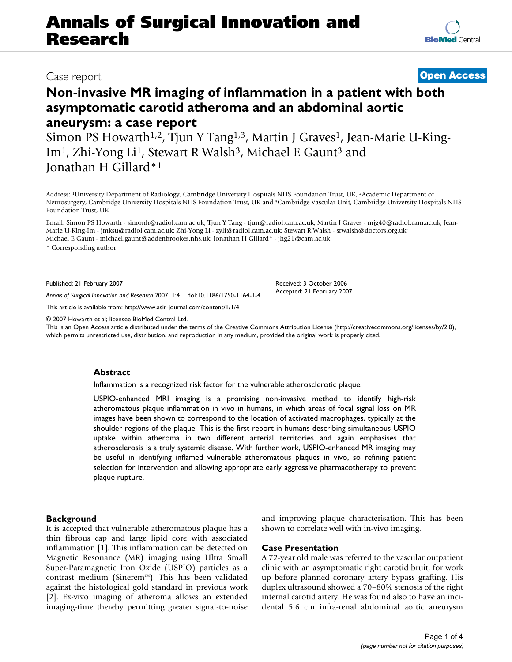# **Non-invasive MR imaging of inflammation in a patient with both asymptomatic carotid atheroma and an abdominal aortic aneurysm: a case report**

Simon PS Howarth<sup>1,2</sup>, Tjun Y Tang<sup>1,3</sup>, Martin J Graves<sup>1</sup>, Jean-Marie U-King-Im<sup>1</sup>, Zhi-Yong Li<sup>1</sup>, Stewart R Walsh<sup>3</sup>, Michael E Gaunt<sup>3</sup> and Jonathan H Gillard\*1

Address: 1University Department of Radiology, Cambridge University Hospitals NHS Foundation Trust, UK, 2Academic Department of Neurosurgery, Cambridge University Hospitals NHS Foundation Trust, UK and 3Cambridge Vascular Unit, Cambridge University Hospitals NHS Foundation Trust, UK

Email: Simon PS Howarth - simonh@radiol.cam.ac.uk; Tjun Y Tang - tjun@radiol.cam.ac.uk; Martin J Graves - mjg40@radiol.cam.ac.uk; Jean-Marie U-King-Im - jmksu@radiol.cam.ac.uk; Zhi-Yong Li - zyli@radiol.cam.ac.uk; Stewart R Walsh - srwalsh@doctors.org.uk; Michael E Gaunt - michael.gaunt@addenbrookes.nhs.uk; Jonathan H Gillard\* - jhg21@cam.ac.uk

\* Corresponding author

Published: 21 February 2007

*Annals of Surgical Innovation and Research* 2007, **1**:4 doi:10.1186/1750-1164-1-4

[This article is available from: http://www.asir-journal.com/content/1/1/4](http://www.asir-journal.com/content/1/1/4)

© 2007 Howarth et al; licensee BioMed Central Ltd.

This is an Open Access article distributed under the terms of the Creative Commons Attribution License [\(http://creativecommons.org/licenses/by/2.0\)](http://creativecommons.org/licenses/by/2.0), which permits unrestricted use, distribution, and reproduction in any medium, provided the original work is properly cited.

#### **Abstract**

Inflammation is a recognized risk factor for the vulnerable atherosclerotic plaque.

USPIO-enhanced MRI imaging is a promising non-invasive method to identify high-risk atheromatous plaque inflammation in vivo in humans, in which areas of focal signal loss on MR images have been shown to correspond to the location of activated macrophages, typically at the shoulder regions of the plaque. This is the first report in humans describing simultaneous USPIO uptake within atheroma in two different arterial territories and again emphasises that atherosclerosis is a truly systemic disease. With further work, USPIO-enhanced MR imaging may be useful in identifying inflamed vulnerable atheromatous plaques in vivo, so refining patient selection for intervention and allowing appropriate early aggressive pharmacotherapy to prevent plaque rupture.

#### **Background**

It is accepted that vulnerable atheromatous plaque has a thin fibrous cap and large lipid core with associated inflammation [1]. This inflammation can be detected on Magnetic Resonance (MR) imaging using Ultra Small Super-Paramagnetic Iron Oxide (USPIO) particles as a contrast medium (Sinerem™). This has been validated against the histological gold standard in previous work [2]. Ex-vivo imaging of atheroma allows an extended imaging-time thereby permitting greater signal-to-noise and improving plaque characterisation. This has been shown to correlate well with in-vivo imaging.

#### **Case Presentation**

A 72-year old male was referred to the vascular outpatient clinic with an asymptomatic right carotid bruit, for work up before planned coronary artery bypass grafting. His duplex ultrasound showed a 70–80% stenosis of the right internal carotid artery. He was found also to have an incidental 5.6 cm infra-renal abdominal aortic aneurysm

# Case report **[Open Access](http://www.biomedcentral.com/info/about/charter/)**

Received: 3 October 2006 Accepted: 21 February 2007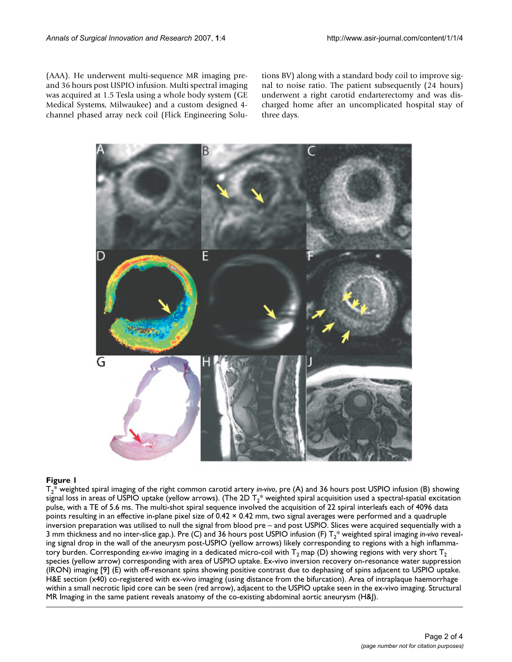(AAA). He underwent multi-sequence MR imaging preand 36 hours post USPIO infusion. Multi spectral imaging was acquired at 1.5 Tesla using a whole body system (GE Medical Systems, Milwaukee) and a custom designed 4 channel phased array neck coil (Flick Engineering Solutions BV) along with a standard body coil to improve signal to noise ratio. The patient subsequently (24 hours) underwent a right carotid endarterectomy and was discharged home after an uncomplicated hospital stay of three days.



T2 signal loss in areas of USPIO uptake (yellow arrows) **Figure 1** \* weighted spiral imaging of the right common carotid artery *in-vivo*, pre (A) and 36 hours post USPIO infusion (B) showing T2\* weighted spiral imaging of the right common carotid artery *in-vivo*, pre (A) and 36 hours post USPIO infusion (B) showing signal loss in areas of USPIO uptake (yellow arrows). (The 2D  $T_2^*$  weighted spiral acquisition used a spectral-spatial excitation pulse, with a TE of 5.6 ms. The multi-shot spiral sequence involved the acquisition of 22 spiral interleafs each of 4096 data points resulting in an effective in-plane pixel size of 0.42 × 0.42 mm, two signal averages were performed and a quadruple inversion preparation was utilised to null the signal from blood pre – and post USPIO. Slices were acquired sequentially with a 3 mm thickness and no inter-slice gap.). Pre (C) and 36 hours post USPIO infusion (F) T<sub>2</sub>\* weighted spiral imaging *in-vivo* revealing signal drop in the wall of the aneurysm post-USPIO (yellow arrows) likely corresponding to regions with a high inflammatory burden. Corresponding *ex-vivo* imaging in a dedicated micro-coil with T<sub>2</sub> map (D) showing regions with very short T<sub>2</sub> species (yellow arrow) corresponding with area of USPIO uptake. Ex-vivo inversion recovery on-resonance water suppression (IRON) imaging [9] (E) with off-resonant spins showing positive contrast due to dephasing of spins adjacent to USPIO uptake. H&E section (x40) co-registered with ex-vivo imaging (using distance from the bifurcation). Area of intraplaque haemorrhage within a small necrotic lipid core can be seen (red arrow), adjacent to the USPIO uptake seen in the ex-vivo imaging. Structural MR Imaging in the same patient reveals anatomy of the co-existing abdominal aortic aneurysm (H&J).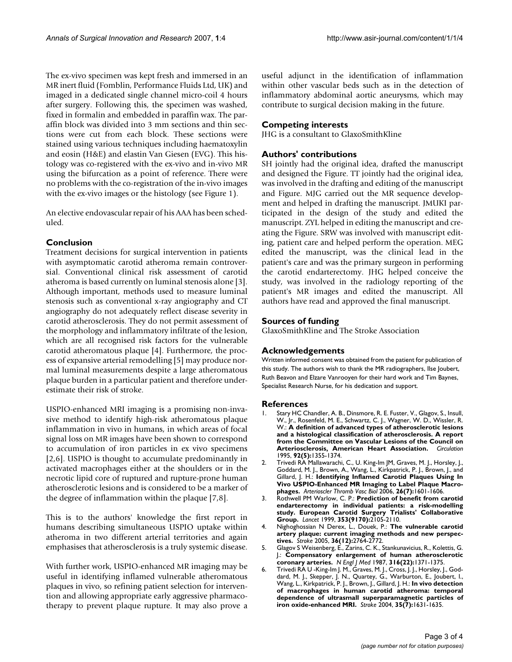The ex-vivo specimen was kept fresh and immersed in an MR inert fluid (Fomblin, Performance Fluids Ltd, UK) and imaged in a dedicated single channel micro-coil 4 hours after surgery. Following this, the specimen was washed, fixed in formalin and embedded in paraffin wax. The paraffin block was divided into 3 mm sections and thin sections were cut from each block. These sections were stained using various techniques including haematoxylin and eosin (H&E) and elastin Van Giesen (EVG). This histology was co-registered with the ex-vivo and in-vivo MR using the bifurcation as a point of reference. There were no problems with the co-registration of the in-vivo images with the ex-vivo images or the histology (see Figure 1).

An elective endovascular repair of his AAA has been scheduled.

# **Conclusion**

Treatment decisions for surgical intervention in patients with asymptomatic carotid atheroma remain controversial. Conventional clinical risk assessment of carotid atheroma is based currently on luminal stenosis alone [3]. Although important, methods used to measure luminal stenosis such as conventional x-ray angiography and CT angiography do not adequately reflect disease severity in carotid atherosclerosis. They do not permit assessment of the morphology and inflammatory infiltrate of the lesion, which are all recognised risk factors for the vulnerable carotid atheromatous plaque [4]. Furthermore, the process of expansive arterial remodelling [5] may produce normal luminal measurements despite a large atheromatous plaque burden in a particular patient and therefore underestimate their risk of stroke.

USPIO-enhanced MRI imaging is a promising non-invasive method to identify high-risk atheromatous plaque inflammation in vivo in humans, in which areas of focal signal loss on MR images have been shown to correspond to accumulation of iron particles in ex vivo specimens [2,6]. USPIO is thought to accumulate predominantly in activated macrophages either at the shoulders or in the necrotic lipid core of ruptured and rupture-prone human atherosclerotic lesions and is considered to be a marker of the degree of inflammation within the plaque [7,8].

This is to the authors' knowledge the first report in humans describing simultaneous USPIO uptake within atheroma in two different arterial territories and again emphasises that atherosclerosis is a truly systemic disease.

With further work, USPIO-enhanced MR imaging may be useful in identifying inflamed vulnerable atheromatous plaques in vivo, so refining patient selection for intervention and allowing appropriate early aggressive pharmacotherapy to prevent plaque rupture. It may also prove a

useful adjunct in the identification of inflammation within other vascular beds such as in the detection of inflammatory abdominal aortic aneurysms, which may contribute to surgical decision making in the future.

### **Competing interests**

JHG is a consultant to GlaxoSmithKline

# **Authors' contributions**

SH jointly had the original idea, drafted the manuscript and designed the Figure. TT jointly had the original idea, was involved in the drafting and editing of the manuscript and Figure. MJG carried out the MR sequence development and helped in drafting the manuscript. JMUKI participated in the design of the study and edited the manuscript. ZYL helped in editing the manuscript and creating the Figure. SRW was involved with manuscript editing, patient care and helped perform the operation. MEG edited the manuscript, was the clinical lead in the patient's care and was the primary surgeon in performing the carotid endarterectomy. JHG helped conceive the study, was involved in the radiology reporting of the patient's MR images and edited the manuscript. All authors have read and approved the final manuscript.

# **Sources of funding**

GlaxoSmithKline and The Stroke Association

### **Acknowledgements**

Written informed consent was obtained from the patient for publication of this study. The authors wish to thank the MR radiographers, Ilse Joubert, Ruth Beavon and Elzare Vanrooyen for their hard work and Tim Baynes, Specialist Research Nurse, for his dedication and support.

#### **References**

- Stary HC Chandler, A. B., Dinsmore, R. E. Fuster, V., Glagov, S., Insull, W., Jr., Rosenfeld, M. E., Schwartz, C. J., Wagner, W. D., Wissler, R. W.: **[A definition of advanced types of atherosclerotic lesions](http://www.ncbi.nlm.nih.gov/entrez/query.fcgi?cmd=Retrieve&db=PubMed&dopt=Abstract&list_uids=7648691) [and a histological classification of atherosclerosis. A report](http://www.ncbi.nlm.nih.gov/entrez/query.fcgi?cmd=Retrieve&db=PubMed&dopt=Abstract&list_uids=7648691) from the Committee on Vascular Lesions of the Council on [Arteriosclerosis, American Heart Association.](http://www.ncbi.nlm.nih.gov/entrez/query.fcgi?cmd=Retrieve&db=PubMed&dopt=Abstract&list_uids=7648691)** *Circulation* 1995, **92(5):**1355-1374.
- 2. Trivedi RA Mallawarachi, C., U. King-Im JM, Graves, M. J., Horsley, J., Goddard, M. J., Brown, A., Wang, L., Kirkpatrick, P. J., Brown, J., and Gillard, J. H.: **[Identifying Inflamed Carotid Plaques Using In](http://www.ncbi.nlm.nih.gov/entrez/query.fcgi?cmd=Retrieve&db=PubMed&dopt=Abstract&list_uids=16627809) [Vivo USPIO-Enhanced MR Imaging to Label Plaque Macro](http://www.ncbi.nlm.nih.gov/entrez/query.fcgi?cmd=Retrieve&db=PubMed&dopt=Abstract&list_uids=16627809)[phages.](http://www.ncbi.nlm.nih.gov/entrez/query.fcgi?cmd=Retrieve&db=PubMed&dopt=Abstract&list_uids=16627809)** *Arterioscler Thromb Vasc Biol* 2006, **26(7):**1601-1606.
- 3. Rothwell PM Warlow, C. P.: **[Prediction of benefit from carotid](http://www.ncbi.nlm.nih.gov/entrez/query.fcgi?cmd=Retrieve&db=PubMed&dopt=Abstract&list_uids=10382694) [endarterectomy in individual patients: a risk-modelling](http://www.ncbi.nlm.nih.gov/entrez/query.fcgi?cmd=Retrieve&db=PubMed&dopt=Abstract&list_uids=10382694) study. European Carotid Surgery Trialists' Collaborative [Group.](http://www.ncbi.nlm.nih.gov/entrez/query.fcgi?cmd=Retrieve&db=PubMed&dopt=Abstract&list_uids=10382694)** *Lancet* 1999, **353(9170):**2105-2110.
- 4. Nighoghossian N Derex, L., Douek, P.: **[The vulnerable carotid](http://www.ncbi.nlm.nih.gov/entrez/query.fcgi?cmd=Retrieve&db=PubMed&dopt=Abstract&list_uids=16282537) [artery plaque: current imaging methods and new perspec](http://www.ncbi.nlm.nih.gov/entrez/query.fcgi?cmd=Retrieve&db=PubMed&dopt=Abstract&list_uids=16282537)[tives.](http://www.ncbi.nlm.nih.gov/entrez/query.fcgi?cmd=Retrieve&db=PubMed&dopt=Abstract&list_uids=16282537)** *Stroke* 2005, **36(12):**2764-2772.
- 5. Glagov S Weisenberg, E., Zarins, C. K., Stankunavicius, R., Kolettis, G. J.: **[Compensatory enlargement of human atherosclerotic](http://www.ncbi.nlm.nih.gov/entrez/query.fcgi?cmd=Retrieve&db=PubMed&dopt=Abstract&list_uids=3574413) [coronary arteries.](http://www.ncbi.nlm.nih.gov/entrez/query.fcgi?cmd=Retrieve&db=PubMed&dopt=Abstract&list_uids=3574413)** *N Engl J Med* 1987, **316(22):**1371-1375.
- 6. Trivedi RA U -King-Im J. M., Graves, M. J., Cross, J. J., Horsley, J., Goddard, M. J., Skepper, J. N., Quartey, G., Warburton, E., Joubert, I., Wang, L., Kirkpatrick, P. J., Brown, J., Gillard, J. H.: **[In vivo detection](http://www.ncbi.nlm.nih.gov/entrez/query.fcgi?cmd=Retrieve&db=PubMed&dopt=Abstract&list_uids=15166394) [of macrophages in human carotid atheroma: temporal](http://www.ncbi.nlm.nih.gov/entrez/query.fcgi?cmd=Retrieve&db=PubMed&dopt=Abstract&list_uids=15166394) dependence of ultrasmall superparamagnetic particles of [iron oxide-enhanced MRI.](http://www.ncbi.nlm.nih.gov/entrez/query.fcgi?cmd=Retrieve&db=PubMed&dopt=Abstract&list_uids=15166394)** *Stroke* 2004, **35(7):**1631-1635.